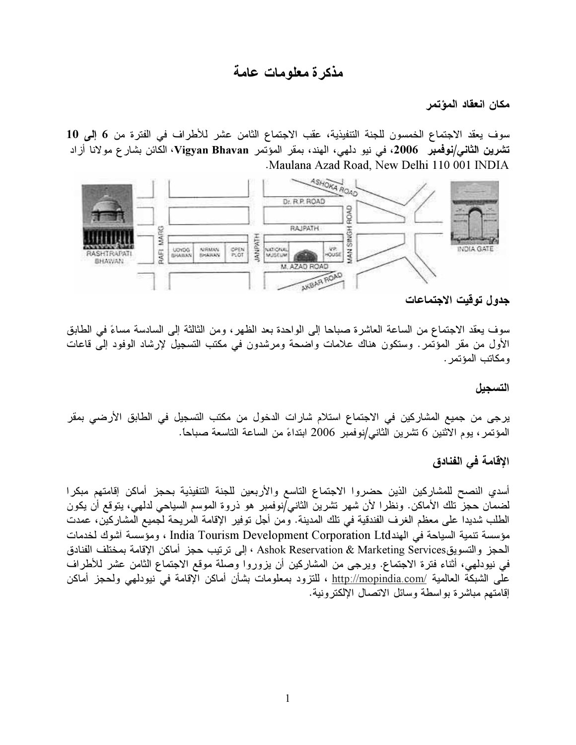## مذكرة معلومات عامة

مكان انعقاد المؤتمر

سوف يعقد الاجتماع الخمسون للجنة التنفيذية، عقب الاجتماع الثامن عشر للأطراف في الفترة من 6 إلى 10 **تشرين الثاني/نوفمبر 2006،** في نيو دلهي، الهند، بمقر المؤتمر Vigyan Bhavan، الكائن بشار ع مولانا أزاد Maulana Azad Road, New Delhi 110 001 INDIA



جدول توقيت الاجتماعات

سوف يعقد الاجتماع من الساعة العاشرة صباحا إلى الواحدة بعد الظهر ، ومن الثالثة إلى السادسة مساءً في الطابق الأول من مقر المؤتمر. وستكون هناك علامات واضحة ومرشدون في مكتب التسجيل لإرشاد الوفود إلى قاعات و مكاتب المؤتمر .

التسجيل

يرجى من جميع المشاركين في الاجتماع استلام شارات الدخول من مكتب التسجيل في الطابق الأرضى بمقر المؤتمر ، يوم الاثنين 6 تشرين الثاني/نوفمبر 2006 ابتداءً من الساعة التاسعة صباحاً.

## الإقامة في الفنادق

أسدي النصح للمشاركين الذين حضروا الاجتماع التاسع والأربعين للجنة التنفيذية بحجز أماكن إقامتهم مبكرا لضمان حجز نلك الأماكن. ونظرا لأن شهر نشرين الثاني/نوفمبر هو ذروة الموسم السياحي لدلهي، يتوقع أن يكون الطلب شديدا على معظم الغرف الفندقية في تلك المدينة. ومن أجل توفير الإقامة المريحة لجميع المشاركين، عمدت مؤسسة تنمية السياحة في الهندTndia Tourism Development Corporation Ltd ، ومؤسسة آشوك لخدمات الحجز والتسويقMarketing Services ، إلى ترتيب حجز أماكن الإقامة بمختلف الفنادق في نيودلهي، أثناء فترة الاجتماع. ويرجى من المشاركين أن يزوروا وصلة موقع الاجتماع الثامن عشر للأطراف على الشبكة العالمية /<u>http://mopindia.com ،</u> للتزود بمعلومات بشأن أماكن الإقامة في نيودلهي ولحجز أماكن إقامتهم مباشرة بواسطة وسائل الاتصال الإلكترونية.